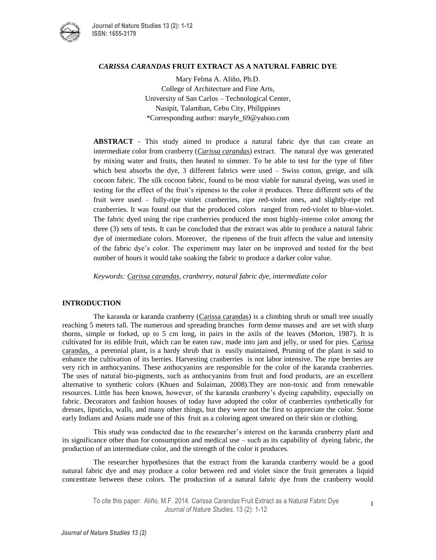

## *CARISSA CARANDAS* **FRUIT EXTRACT AS A NATURAL FABRIC DYE**

Mary Felma A. Aliño, Ph.D. College of Architecture and Fine Arts, University of San Carlos – Technological Center, Nasipit, Talamban, Cebu City, Philippines \*Corresponding author: maryfe**\_**69@yahoo.com

**ABSTRACT** - This study aimed to produce a natural fabric dye that can create an intermediate color from cranberry (*Carissa carandas*) extract. The natural dye was generated by mixing water and fruits, then heated to simmer. To be able to test for the type of fiber which best absorbs the dye, 3 different fabrics were used – Swiss cotton, greige, and silk cocoon fabric. The silk cocoon fabric, found to be most viable for natural dyeing, was used in testing for the effect of the fruit's ripeness to the color it produces. Three different sets of the fruit were used – fully-ripe violet cranberries, ripe red-violet ones, and slightly-ripe red cranberries. It was found out that the produced colors ranged from red-violet to blue-violet. The fabric dyed using the ripe cranberries produced the most highly-intense color among the three (3) sets of tests. It can be concluded that the extract was able to produce a natural fabric dye of intermediate colors. Moreover, the ripeness of the fruit affects the value and intensity of the fabric dye's color. The experiment may later on be improved and tested for the best number of hours it would take soaking the fabric to produce a darker color value.

*Keywords: Carissa carandas, cranberry, natural fabric dye, intermediate color*

## **INTRODUCTION**

The karanda or karanda cranberry (Carissa carandas) is a climbing shrub or small tree usually reaching 5 meters tall. The numerous and spreading branches form dense masses and are set with sharp thorns, simple or forked, up to 5 cm long, in pairs in the axils of the leaves (Morton, 1987). It is cultivated for its edible fruit, which can be eaten raw, made into jam and jelly, or used for pies. Carissa carandas, a perennial plant, is a hardy shrub that is easily maintained, Pruning of the plant is said to enhance the cultivation of its berries. Harvesting cranberries is not labor intensive. The ripe berries are very rich in anthocyanins. These anthocyanins are responsible for the color of the karanda cranberries. The uses of natural bio-pigments, such as anthocyanins from fruit and food products, are an excellent alternative to synthetic colors (Khuen and Sulaiman, 2008).They are non-toxic and from renewable resources. Little has been known, however, of the karanda cranberry's dyeing capability, especially on fabric. Decorators and fashion houses of today have adopted the color of cranberries synthetically for dresses, lipsticks, walls, and many other things, but they were not the first to appreciate the color. Some early Indians and Asians made use of this fruit as a coloring agent smeared on their skin or clothing.

This study was conducted due to the researcher's interest on the karanda cranberry plant and its significance other than for consumption and medical use – such as its capability of dyeing fabric, the production of an intermediate color, and the strength of the color it produces.

The researcher hypothesizes that the extract from the karanda cranberry would be a good natural fabric dye and may produce a color between red and violet since the fruit generates a liquid concentrate between these colors. The production of a natural fabric dye from the cranberry would

1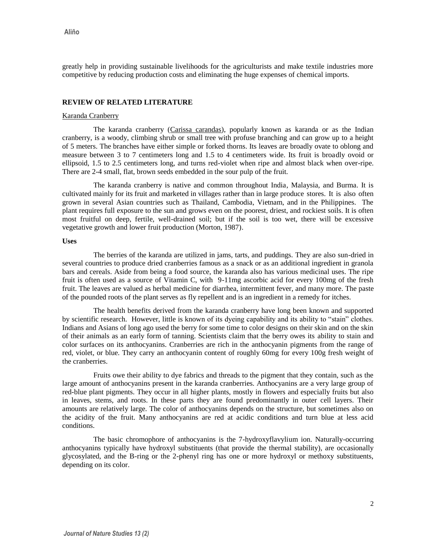greatly help in providing sustainable livelihoods for the agriculturists and make textile industries more competitive by reducing production costs and eliminating the huge expenses of chemical imports.

# **REVIEW OF RELATED LITERATURE**

#### Karanda Cranberry

The karanda cranberry (Carissa carandas), popularly known as karanda or as the Indian cranberry, is a woody, climbing shrub or small tree with profuse branching and can grow up to a height of 5 meters. The branches have either simple or forked thorns. Its leaves are broadly ovate to oblong and measure between 3 to 7 centimeters long and 1.5 to 4 centimeters wide. Its fruit is broadly ovoid or ellipsoid, 1.5 to 2.5 centimeters long, and turns red-violet when ripe and almost black when over-ripe. There are 2-4 small, flat, brown seeds embedded in the sour pulp of the fruit.

The karanda cranberry is native and common throughout India, Malaysia, and Burma. It is cultivated mainly for its fruit and marketed in villages rather than in large produce stores. It is also often grown in several Asian countries such as Thailand, Cambodia, Vietnam, and in the Philippines. The plant requires full exposure to the sun and grows even on the poorest, driest, and rockiest soils. It is often most fruitful on deep, fertile, well-drained soil; but if the soil is too wet, there will be excessive vegetative growth and lower fruit production (Morton, 1987).

#### **Uses**

The berries of the karanda are utilized in jams, tarts, and puddings. They are also sun-dried in several countries to produce dried cranberries famous as a snack or as an additional ingredient in granola bars and cereals. Aside from being a food source, the karanda also has various medicinal uses. The ripe fruit is often used as a source of Vitamin C, with 9-11mg ascorbic acid for every 100mg of the fresh fruit. The leaves are valued as herbal medicine for diarrhea, intermittent fever, and many more. The paste of the pounded roots of the plant serves as fly repellent and is an ingredient in a remedy for itches.

The health benefits derived from the karanda cranberry have long been known and supported by scientific research. However, little is known of its dyeing capability and its ability to "stain" clothes. Indians and Asians of long ago used the berry for some time to color designs on their skin and on the skin of their animals as an early form of tanning. Scientists claim that the berry owes its ability to stain and color surfaces on its anthocyanins. Cranberries are rich in the anthocyanin pigments from the range of red, violet, or blue. They carry an anthocyanin content of roughly 60mg for every 100g fresh weight of the cranberries.

Fruits owe their ability to dye fabrics and threads to the pigment that they contain, such as the large amount of anthocyanins present in the karanda cranberries. Anthocyanins are a very large group of red-blue plant pigments. They occur in all higher plants, mostly in flowers and especially fruits but also in leaves, stems, and roots. In these parts they are found predominantly in outer cell layers. Their amounts are relatively large. The color of anthocyanins depends on the structure, but sometimes also on the acidity of the fruit. Many anthocyanins are red at acidic conditions and turn blue at less acid conditions.

The basic chromophore of anthocyanins is the 7-hydroxyflavylium ion. Naturally-occurring anthocyanins typically have hydroxyl substituents (that provide the thermal stability), are occasionally glycosylated, and the B-ring or the 2-phenyl ring has one or more hydroxyl or methoxy substituents, depending on its color.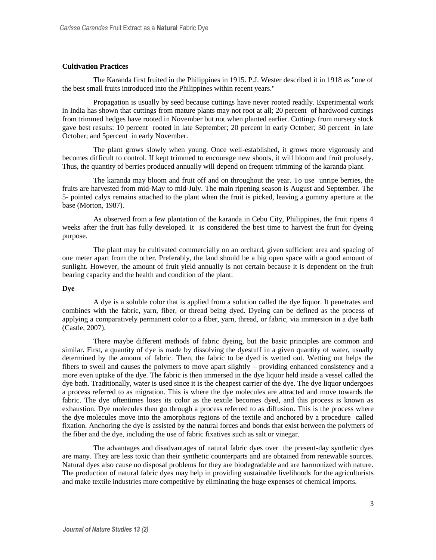### **Cultivation Practices**

The Karanda first fruited in the Philippines in 1915. P.J. Wester described it in 1918 as "one of the best small fruits introduced into the Philippines within recent years."

Propagation is usually by seed because cuttings have never rooted readily. Experimental work in India has shown that cuttings from mature plants may not root at all; 20 percent of hardwood cuttings from trimmed hedges have rooted in November but not when planted earlier. Cuttings from nursery stock gave best results: 10 percent rooted in late September; 20 percent in early October; 30 percent in late October; and 5percent in early November.

The plant grows slowly when young. Once well-established, it grows more vigorously and becomes difficult to control. If kept trimmed to encourage new shoots, it will bloom and fruit profusely. Thus, the quantity of berries produced annually will depend on frequent trimming of the karanda plant.

The karanda may bloom and fruit off and on throughout the year. To use unripe berries, the fruits are harvested from mid-May to mid-July. The main ripening season is August and September. The 5- pointed calyx remains attached to the plant when the fruit is picked, leaving a gummy aperture at the base (Morton, 1987).

As observed from a few plantation of the karanda in Cebu City, Philippines, the fruit ripens 4 weeks after the fruit has fully developed. It is considered the best time to harvest the fruit for dyeing purpose.

The plant may be cultivated commercially on an orchard, given sufficient area and spacing of one meter apart from the other. Preferably, the land should be a big open space with a good amount of sunlight. However, the amount of fruit yield annually is not certain because it is dependent on the fruit bearing capacity and the health and condition of the plant.

### **Dye**

A dye is a soluble color that is applied from a solution called the dye liquor. It penetrates and combines with the fabric, yarn, fiber, or thread being dyed. Dyeing can be defined as the process of applying a comparatively permanent color to a fiber, yarn, thread, or fabric, via immersion in a dye bath (Castle, 2007).

There maybe different methods of fabric dyeing, but the basic principles are common and similar. First, a quantity of dye is made by dissolving the dyestuff in a given quantity of water, usually determined by the amount of fabric. Then, the fabric to be dyed is wetted out. Wetting out helps the fibers to swell and causes the polymers to move apart slightly – providing enhanced consistency and a more even uptake of the dye. The fabric is then immersed in the dye liquor held inside a vessel called the dye bath. Traditionally, water is used since it is the cheapest carrier of the dye. The dye liquor undergoes a process referred to as migration. This is where the dye molecules are attracted and move towards the fabric. The dye oftentimes loses its color as the textile becomes dyed, and this process is known as exhaustion. Dye molecules then go through a process referred to as diffusion. This is the process where the dye molecules move into the amorphous regions of the textile and anchored by a procedure called fixation. Anchoring the dye is assisted by the natural forces and bonds that exist between the polymers of the fiber and the dye, including the use of fabric fixatives such as salt or vinegar.

The advantages and disadvantages of natural fabric dyes over the present-day synthetic dyes are many. They are less toxic than their synthetic counterparts and are obtained from renewable sources. Natural dyes also cause no disposal problems for they are biodegradable and are harmonized with nature. The production of natural fabric dyes may help in providing sustainable livelihoods for the agriculturists and make textile industries more competitive by eliminating the huge expenses of chemical imports.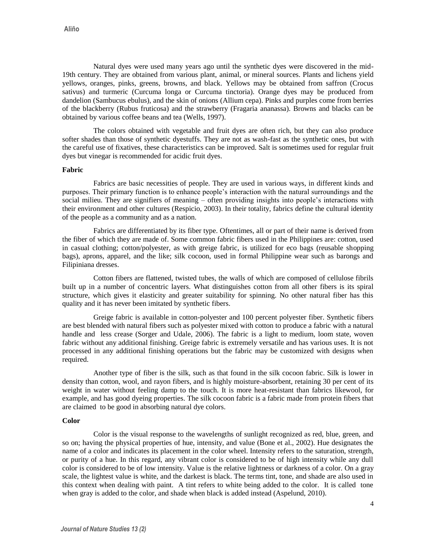Natural dyes were used many years ago until the synthetic dyes were discovered in the mid-19th century. They are obtained from various plant, animal, or mineral sources. Plants and lichens yield yellows, oranges, pinks, greens, browns, and black. Yellows may be obtained from saffron (Crocus sativus) and turmeric (Curcuma longa or Curcuma tinctoria). Orange dyes may be produced from dandelion (Sambucus ebulus), and the skin of onions (Allium cepa). Pinks and purples come from berries of the blackberry (Rubus fruticosa) and the strawberry (Fragaria ananassa). Browns and blacks can be obtained by various coffee beans and tea (Wells, 1997).

The colors obtained with vegetable and fruit dyes are often rich, but they can also produce softer shades than those of synthetic dyestuffs. They are not as wash-fast as the synthetic ones, but with the careful use of fixatives, these characteristics can be improved. Salt is sometimes used for regular fruit dyes but vinegar is recommended for acidic fruit dyes.

#### **Fabric**

Fabrics are basic necessities of people. They are used in various ways, in different kinds and purposes. Their primary function is to enhance people's interaction with the natural surroundings and the social milieu. They are signifiers of meaning – often providing insights into people's interactions with their environment and other cultures (Respicio, 2003). In their totality, fabrics define the cultural identity of the people as a community and as a nation.

Fabrics are differentiated by its fiber type. Oftentimes, all or part of their name is derived from the fiber of which they are made of. Some common fabric fibers used in the Philippines are: cotton, used in casual clothing; cotton/polyester, as with greige fabric, is utilized for eco bags (reusable shopping bags), aprons, apparel, and the like; silk cocoon, used in formal Philippine wear such as barongs and Filipiniana dresses.

Cotton fibers are flattened, twisted tubes, the walls of which are composed of cellulose fibrils built up in a number of concentric layers. What distinguishes cotton from all other fibers is its spiral structure, which gives it elasticity and greater suitability for spinning. No other natural fiber has this quality and it has never been imitated by synthetic fibers.

Greige fabric is available in cotton-polyester and 100 percent polyester fiber. Synthetic fibers are best blended with natural fibers such as polyester mixed with cotton to produce a fabric with a natural handle and less crease (Sorger and Udale, 2006). The fabric is a light to medium, loom state, woven fabric without any additional finishing. Greige fabric is extremely versatile and has various uses. It is not processed in any additional finishing operations but the fabric may be customized with designs when required.

Another type of fiber is the silk, such as that found in the silk cocoon fabric. Silk is lower in density than cotton, wool, and rayon fibers, and is highly moisture-absorbent, retaining 30 per cent of its weight in water without feeling damp to the touch. It is more heat-resistant than fabrics likewool, for example, and has good dyeing properties. The silk cocoon fabric is a fabric made from protein fibers that are claimed to be good in absorbing natural dye colors.

### **Color**

Color is the visual response to the wavelengths of sunlight recognized as red, blue, green, and so on; having the physical properties of hue, intensity, and value (Bone et al., 2002). Hue designates the name of a color and indicates its placement in the color wheel. Intensity refers to the saturation, strength, or purity of a hue. In this regard, any vibrant color is considered to be of high intensity while any dull color is considered to be of low intensity. Value is the relative lightness or darkness of a color. On a gray scale, the lightest value is white, and the darkest is black. The terms tint, tone, and shade are also used in this context when dealing with paint. A tint refers to white being added to the color. It is called tone when gray is added to the color, and shade when black is added instead (Aspelund, 2010).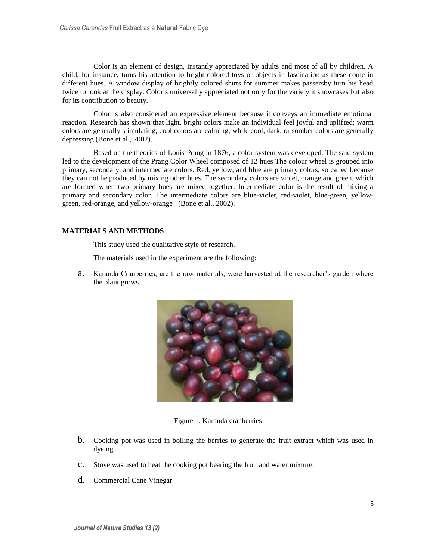Color is an element of design, instantly appreciated by adults and most of all by children. A child, for instance, turns his attention to bright colored toys or objects in fascination as these come in different hues. A window display of brightly colored shirts for summer makes passersby turn his head twice to look at the display. Coloris universally appreciated not only for the variety it showcases but also for its contribution to beauty.

Color is also considered an expressive element because it conveys an immediate emotional reaction. Research has shown that light, bright colors make an individual feel joyful and uplifted; warm colors are generally stimulating; cool colors are calming; while cool, dark, or somber colors are generally depressing (Bone et al., 2002).

Based on the theories of Louis Prang in 1876, a color system was developed. The said system led to the development of the Prang Color Wheel composed of 12 hues The colour wheel is grouped into primary, secondary, and intermediate colors. Red, yellow, and blue are primary colors, so called because they can not be produced by mixing other hues. The secondary colors are violet, orange and green, which are formed when two primary hues are mixed together. Intermediate color is the result of mixing a primary and secondary color. The intermediate colors are blue-violet, red-violet, blue-green, yellowgreen, red-orange, and yellow-orange (Bone et al., 2002).

# **MATERIALS AND METHODS**

This study used the qualitative style of research.

The materials used in the experiment are the following:

a. Karanda Cranberries, are the raw materials, were harvested at the researcher's garden where the plant grows.



Figure 1. Karanda cranberries

- b. Cooking pot was used in boiling the berries to generate the fruit extract which was used in dyeing.
- c. Stove was used to heat the cooking pot bearing the fruit and water mixture.
- d. Commercial Cane Vinegar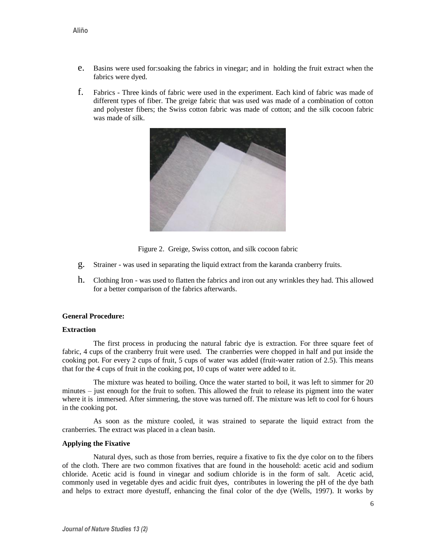- e. Basins were used for:soaking the fabrics in vinegar; and in holding the fruit extract when the fabrics were dyed.
- f. Fabrics Three kinds of fabric were used in the experiment. Each kind of fabric was made of different types of fiber. The greige fabric that was used was made of a combination of cotton and polyester fibers; the Swiss cotton fabric was made of cotton; and the silk cocoon fabric was made of silk.



Figure 2. Greige, Swiss cotton, and silk cocoon fabric

- g. Strainer was used in separating the liquid extract from the karanda cranberry fruits.
- h. Clothing Iron was used to flatten the fabrics and iron out any wrinkles they had. This allowed for a better comparison of the fabrics afterwards.

#### **General Procedure:**

#### **Extraction**

The first process in producing the natural fabric dye is extraction. For three square feet of fabric, 4 cups of the cranberry fruit were used. The cranberries were chopped in half and put inside the cooking pot. For every 2 cups of fruit, 5 cups of water was added (fruit-water ration of 2.5). This means that for the 4 cups of fruit in the cooking pot, 10 cups of water were added to it.

The mixture was heated to boiling. Once the water started to boil, it was left to simmer for 20 minutes – just enough for the fruit to soften. This allowed the fruit to release its pigment into the water where it is immersed. After simmering, the stove was turned off. The mixture was left to cool for 6 hours in the cooking pot.

As soon as the mixture cooled, it was strained to separate the liquid extract from the cranberries. The extract was placed in a clean basin.

## **Applying the Fixative**

Natural dyes, such as those from berries, require a fixative to fix the dye color on to the fibers of the cloth. There are two common fixatives that are found in the household: acetic acid and sodium chloride. Acetic acid is found in vinegar and sodium chloride is in the form of salt. Acetic acid, commonly used in vegetable dyes and acidic fruit dyes, contributes in lowering the pH of the dye bath and helps to extract more dyestuff, enhancing the final color of the dye (Wells, 1997). It works by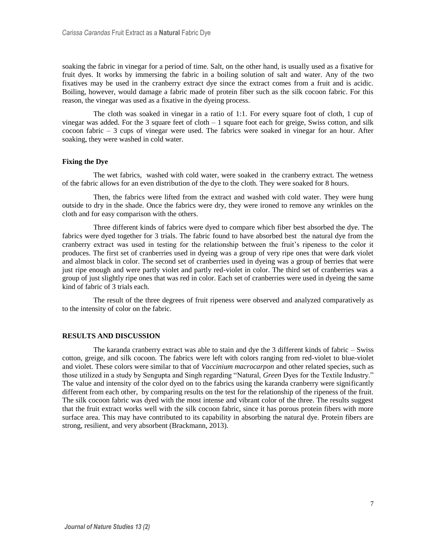soaking the fabric in vinegar for a period of time. Salt, on the other hand, is usually used as a fixative for fruit dyes. It works by immersing the fabric in a boiling solution of salt and water. Any of the two fixatives may be used in the cranberry extract dye since the extract comes from a fruit and is acidic. Boiling, however, would damage a fabric made of protein fiber such as the silk cocoon fabric. For this reason, the vinegar was used as a fixative in the dyeing process.

The cloth was soaked in vinegar in a ratio of 1:1. For every square foot of cloth, 1 cup of vinegar was added. For the 3 square feet of cloth  $-1$  square foot each for greige, Swiss cotton, and silk cocoon fabric – 3 cups of vinegar were used. The fabrics were soaked in vinegar for an hour. After soaking, they were washed in cold water.

## **Fixing the Dye**

The wet fabrics, washed with cold water, were soaked in the cranberry extract. The wetness of the fabric allows for an even distribution of the dye to the cloth. They were soaked for 8 hours.

Then, the fabrics were lifted from the extract and washed with cold water. They were hung outside to dry in the shade. Once the fabrics were dry, they were ironed to remove any wrinkles on the cloth and for easy comparison with the others.

Three different kinds of fabrics were dyed to compare which fiber best absorbed the dye. The fabrics were dyed together for 3 trials. The fabric found to have absorbed best the natural dye from the cranberry extract was used in testing for the relationship between the fruit's ripeness to the color it produces. The first set of cranberries used in dyeing was a group of very ripe ones that were dark violet and almost black in color. The second set of cranberries used in dyeing was a group of berries that were just ripe enough and were partly violet and partly red-violet in color. The third set of cranberries was a group of just slightly ripe ones that was red in color. Each set of cranberries were used in dyeing the same kind of fabric of 3 trials each.

The result of the three degrees of fruit ripeness were observed and analyzed comparatively as to the intensity of color on the fabric.

#### **RESULTS AND DISCUSSION**

The karanda cranberry extract was able to stain and dye the 3 different kinds of fabric – Swiss cotton, greige, and silk cocoon. The fabrics were left with colors ranging from red-violet to blue-violet and violet. These colors were similar to that of *Vaccinium macrocarpon* and other related species, such as those utilized in a study by Sengupta and Singh regarding "Natural, *Green* Dyes for the Textile Industry." The value and intensity of the color dyed on to the fabrics using the karanda cranberry were significantly different from each other, by comparing results on the test for the relationship of the ripeness of the fruit. The silk cocoon fabric was dyed with the most intense and vibrant color of the three. The results suggest that the fruit extract works well with the silk cocoon fabric, since it has porous protein fibers with more surface area. This may have contributed to its capability in absorbing the natural dye. Protein fibers are strong, resilient, and very absorbent (Brackmann, 2013).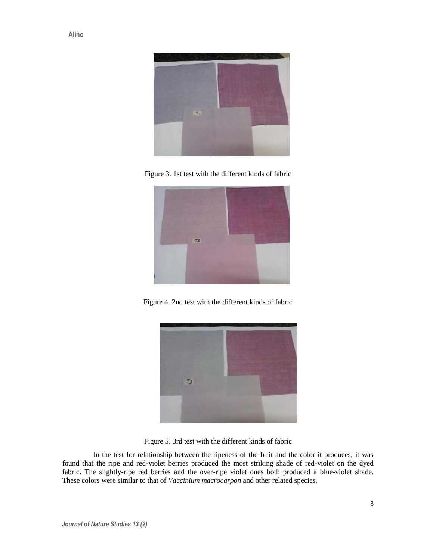

Figure 3. 1st test with the different kinds of fabric



Figure 4. 2nd test with the different kinds of fabric



Figure 5. 3rd test with the different kinds of fabric

In the test for relationship between the ripeness of the fruit and the color it produces, it was found that the ripe and red-violet berries produced the most striking shade of red-violet on the dyed fabric. The slightly-ripe red berries and the over-ripe violet ones both produced a blue-violet shade. These colors were similar to that of *Vaccinium macrocarpon* and other related species.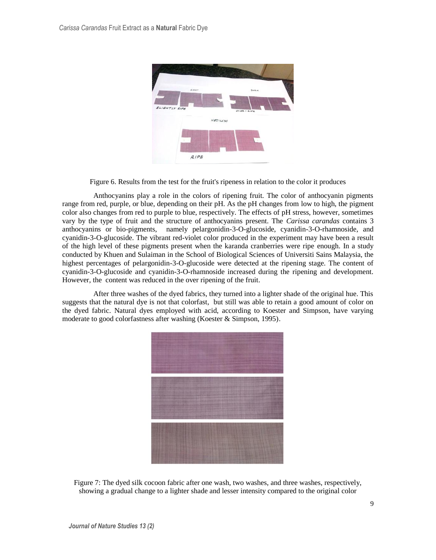

Figure 6. Results from the test for the fruit's ripeness in relation to the color it produces

Anthocyanins play a role in the colors of ripening fruit. The color of anthocyanin pigments range from red, purple, or blue, depending on their pH. As the pH changes from low to high, the pigment color also changes from red to purple to blue, respectively. The effects of pH stress, however, sometimes vary by the type of fruit and the structure of anthocyanins present. The *Carissa carandas* contains 3 anthocyanins or bio-pigments, namely pelargonidin-3-O-glucoside, cyanidin-3-O-rhamnoside, and cyanidin-3-O-glucoside. The vibrant red-violet color produced in the experiment may have been a result of the high level of these pigments present when the karanda cranberries were ripe enough. In a study conducted by Khuen and Sulaiman in the School of Biological Sciences of Universiti Sains Malaysia, the highest percentages of pelargonidin-3-O-glucoside were detected at the ripening stage. The content of cyanidin-3-O-glucoside and cyanidin-3-O-rhamnoside increased during the ripening and development. However, the content was reduced in the over ripening of the fruit.

After three washes of the dyed fabrics, they turned into a lighter shade of the original hue. This suggests that the natural dye is not that colorfast, but still was able to retain a good amount of color on the dyed fabric. Natural dyes employed with acid, according to Koester and Simpson, have varying moderate to good colorfastness after washing (Koester & Simpson, 1995).



Figure 7: The dyed silk cocoon fabric after one wash, two washes, and three washes, respectively, showing a gradual change to a lighter shade and lesser intensity compared to the original color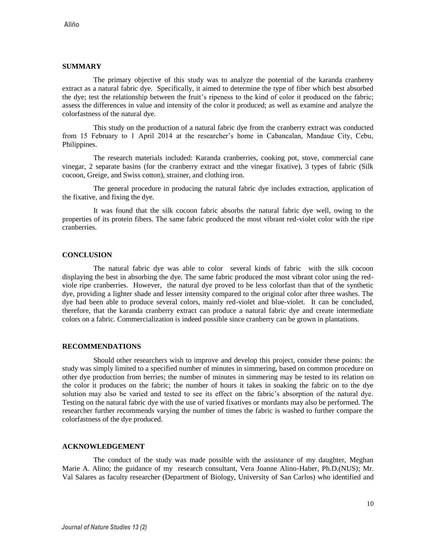### **SUMMARY**

The primary objective of this study was to analyze the potential of the karanda cranberry extract as a natural fabric dye. Specifically, it aimed to determine the type of fiber which best absorbed the dye; test the relationship between the fruit's ripeness to the kind of color it produced on the fabric; assess the differences in value and intensity of the color it produced; as well as examine and analyze the colorfastness of the natural dye.

This study on the production of a natural fabric dye from the cranberry extract was conducted from 15 February to 1 April 2014 at the researcher's home in Cabancalan, Mandaue City, Cebu, Philippines.

The research materials included: Karanda cranberries, cooking pot, stove, commercial cane vinegar, 2 separate basins (for the cranberry extract and tthe vinegar fixative), 3 types of fabric (Silk cocoon, Greige, and Swiss cotton), strainer, and clothing iron.

The general procedure in producing the natural fabric dye includes extraction, application of the fixative, and fixing the dye.

It was found that the silk cocoon fabric absorbs the natural fabric dye well, owing to the properties of its protein fibers. The same fabric produced the most vibrant red-violet color with the ripe cranberries.

### **CONCLUSION**

The natural fabric dye was able to color several kinds of fabric with the silk cocoon displaying the best in absorbing the dye. The same fabric produced the most vibrant color using the redviole ripe cranberries. However, the natural dye proved to be less colorfast than that of the synthetic dye, providing a lighter shade and lesser intensity compared to the original color after three washes. The dye had been able to produce several colors, mainly red-violet and blue-violet. It can be concluded, therefore, that the karanda cranberry extract can produce a natural fabric dye and create intermediate colors on a fabric. Commercialization is indeed possible since cranberry can be grown in plantations.

#### **RECOMMENDATIONS**

Should other researchers wish to improve and develop this project, consider these points: the study was simply limited to a specified number of minutes in simmering, based on common procedure on other dye production from berries; the number of minutes in simmering may be tested to its relation on the color it produces on the fabric; the number of hours it takes in soaking the fabric on to the dye solution may also be varied and tested to see its effect on the fabric's absorption of the natural dye. Testing on the natural fabric dye with the use of varied fixatives or mordants may also be performed. The researcher further recommends varying the number of times the fabric is washed to further compare the colorfastness of the dye produced.

## **ACKNOWLEDGEMENT**

The conduct of the study was made possible with the assistance of my daughter, Meghan Marie A. Alino; the guidance of my research consultant, Vera Joanne Alino-Haber, Ph.D.(NUS); Mr. Val Salares as faculty researcher (Department of Biology, University of San Carlos) who identified and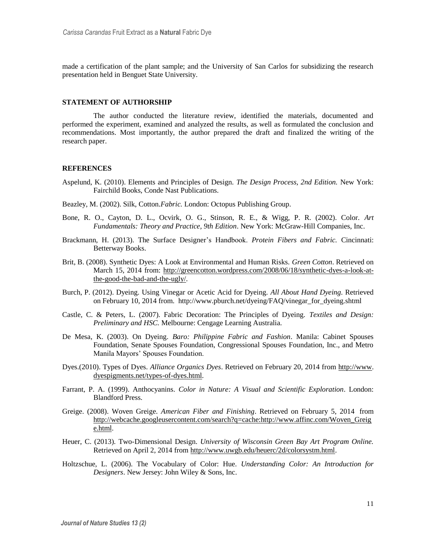made a certification of the plant sample; and the University of San Carlos for subsidizing the research presentation held in Benguet State University.

# **STATEMENT OF AUTHORSHIP**

The author conducted the literature review, identified the materials, documented and performed the experiment, examined and analyzed the results, as well as formulated the conclusion and recommendations. Most importantly, the author prepared the draft and finalized the writing of the research paper.

# **REFERENCES**

- Aspelund, K. (2010). Elements and Principles of Design. *The Design Process, 2nd Edition.* New York: Fairchild Books, Conde Nast Publications.
- Beazley, M. (2002). Silk, Cotton.*Fabric.* London: Octopus Publishing Group.
- Bone, R. O., Cayton, D. L., Ocvirk, O. G., Stinson, R. E., & Wigg, P. R. (2002). Color. *Art Fundamentals: Theory and Practice, 9th Edition*. New York: McGraw-Hill Companies, Inc.
- Brackmann, H. (2013). The Surface Designer's Handbook. *Protein Fibers and Fabric.* Cincinnati: Betterway Books.
- Brit, B. (2008). Synthetic Dyes: A Look at Environmental and Human Risks. *Green Cotton*. Retrieved on March 15, 2014 from: [http://greencotton.wordpress.com/2008/06/18/synthetic-dyes-a-look-at](http://greencotton.wordpress.com/2008/06/18/synthetic-dyes-a-look-at-the-good-the-bad-and-the-ugly/)[the-good-the-bad-and-the-ugly/.](http://greencotton.wordpress.com/2008/06/18/synthetic-dyes-a-look-at-the-good-the-bad-and-the-ugly/)
- Burch, P. (2012). Dyeing. Using Vinegar or Acetic Acid for Dyeing. *All About Hand Dyeing*. Retrieved on February 10, 2014 from. http://www.pburch.net/dyeing/FAQ/vinegar\_for\_dyeing.shtml
- Castle, C. & Peters, L. (2007). Fabric Decoration: The Principles of Dyeing. *Textiles and Design: Preliminary and HSC.* Melbourne: Cengage Learning Australia.
- De Mesa, K. (2003). On Dyeing. *Baro: Philippine Fabric and Fashion*. Manila: Cabinet Spouses Foundation, Senate Spouses Foundation, Congressional Spouses Foundation, Inc., and Metro Manila Mayors' Spouses Foundation.
- Dyes.(2010). Types of Dyes. *Alliance Organics Dyes*. Retrieved on February 20, 2014 from [http://www.](http://www/) [dyespigments.net/types-of-dyes.html.](http://dyespigments.net/types-of-dyes.html)
- Farrant, P. A. (1999). Anthocyanins. *Color in Nature: A Visual and Scientific Exploration*. London: Blandford Press.
- Greige. (2008). Woven Greige. *American Fiber and Finishing*. Retrieved on February 5, 2014 from [http://webcache.googleusercontent.com/search?q=cache:http://www.affinc.com/Woven\\_Greig](http://webcache.googleusercontent.com/search?q=cache:http://www.affinc.com/Woven_Greige.html) [e.html.](http://webcache.googleusercontent.com/search?q=cache:http://www.affinc.com/Woven_Greige.html)
- Heuer, C. (2013). Two-Dimensional Design. *University of Wisconsin Green Bay Art Program Online.*  Retrieved on April 2, 2014 from [http://www.uwgb.edu/heuerc/2d/colorsystm.html.](http://www.uwgb.edu/heuerc/2d/colorsystm.html)
- Holtzschue, L. (2006). The Vocabulary of Color: Hue. *Understanding Color: An Introduction for Designers*. New Jersey: John Wiley & Sons, Inc.